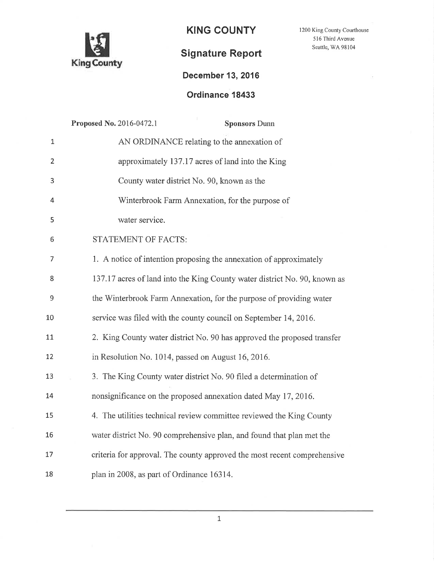

KING COUNTY

1200 King County Courthouse 516 Third Avenue Seattle, WA 98104

# Signature Report

## December 13,2016

### Ordinance 18433

|                | Proposed No. 2016-0472.1<br><b>Sponsors Dunn</b>                          |
|----------------|---------------------------------------------------------------------------|
| $\mathbf{1}$   | AN ORDINANCE relating to the annexation of                                |
| $\overline{2}$ | approximately 137.17 acres of land into the King                          |
| 3              | County water district No. 90, known as the                                |
| 4              | Winterbrook Farm Annexation, for the purpose of                           |
| 5              | water service.                                                            |
| 6              | STATEMENT OF FACTS:                                                       |
| $\overline{7}$ | 1. A notice of intention proposing the annexation of approximately        |
| 8              | 137.17 acres of land into the King County water district No. 90, known as |
| 9              | the Winterbrook Farm Annexation, for the purpose of providing water       |
| 10             | service was filed with the county council on September 14, 2016.          |
| 11             | 2. King County water district No. 90 has approved the proposed transfer   |
| 12             | in Resolution No. 1014, passed on August 16, 2016.                        |
| 13             | 3. The King County water district No. 90 filed a determination of         |
| 14             | nonsignificance on the proposed annexation dated May 17, 2016.            |
| 15             | 4. The utilities technical review committee reviewed the King County      |
| 16             | water district No. 90 comprehensive plan, and found that plan met the     |
| 17             | criteria for approval. The county approved the most recent comprehensive  |
| 18             | plan in 2008, as part of Ordinance 16314.                                 |
|                |                                                                           |

1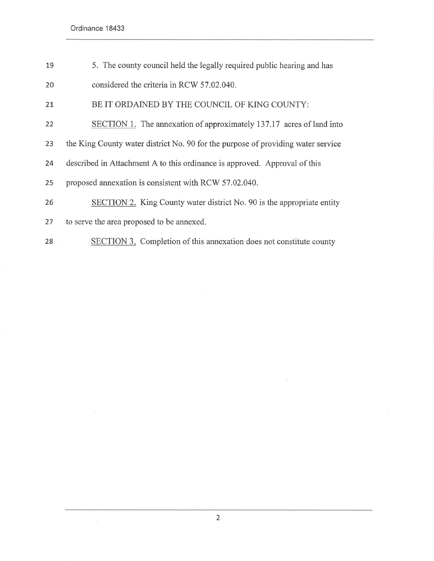19 20 5. The county council held the legally required public hearing and has considered the criteria in RCW 57.02.040.

2t BE IT ORDAINED BY THE COUNCIL OF KING COUNTY:

- 22 SECTION 1. The annexation of approximately 137.17 acres of land into
- 23 the King County water district No. 90 for the purpose of providing water service
- 24 described in Attachment A to this ordinance is approved. Approval of this
- 25 proposed annexation is consistent with RCW 57.02.040.
- 26 SECTION 2. King County water district No. 90 is the appropriate entity
- 27 to serve the area proposed to be annexed.
- 28 SECTION 3. Completion of this annexation does not constitute county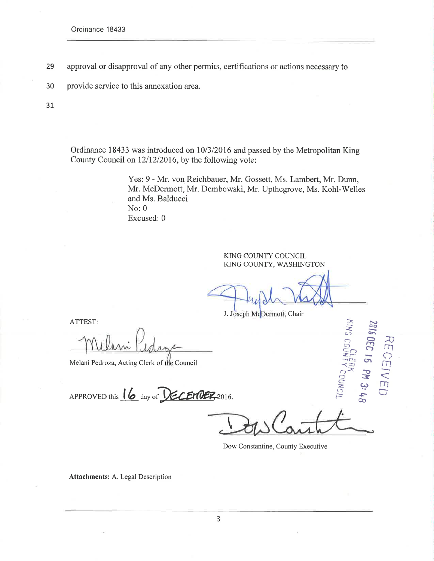- 29 approval or disapproval of any other permits, certifications or actions necessary to
- 30 provide service to this annexation area.

31

Ordinance 18433 was introduced on 10/3/2016 and passed by the Metropolitan King County Council on 12/12/2016, by the following vote:

> Yes: 9 - Mr. von Reichbauer, Mr. Gossett, Ms. Lambert, Mr. Dunn, Mr. McDermott, Mr. Dembowski, Mr. Upthegrove, Ms. Kohl-Welles and Ms. Balducci  $No: 0$ Excused: 0

> > KING COUNTY COUNCIL KING COUNTY, WASHINGTON

J. Joseph McDermott, Chair

ATTEST:

Melani Pedroza, Acting Clerk of the Council

APPROVED this 16 day of **VECEMBER**-2016.

KING COUN

Y COUNCIL

2016 DEC 16 PM 3: 48

RECEIVED

Dow Constantine, County Executive

**Attachments: A. Legal Description**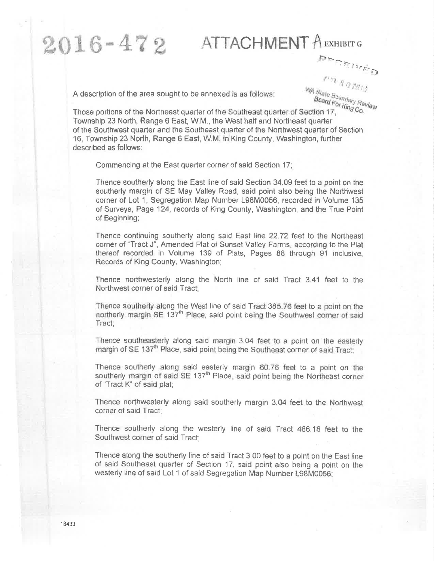# ATTACHMENT A EXHIBIT G ORVISCHER

A description of the area sought to be annexed is as follows:

 $2016 - 472$ 

WA State Boundary Review Board For King Co.

Those portions of the Northeast quarter of the Southeast quarter of Section 17, Township 23 North, Range 6 East, W.M., the West half and Northeast quarter of the Southwest quarter and the Southeast quarter of the Northwest quarter of Section 16. Township 23 North, Range 6 East, W.M. in King County, Washington, further described as follows:

Commencing at the East quarter corner of said Section 17:

Thence southerly along the East line of said Section 34.09 feet to a point on the southerly margin of SE May Valley Road, said point also being the Northwest corner of Lot 1, Segregation Map Number L98M0056, recorded in Volume 135 of Surveys, Page 124, records of King County, Washington, and the True Point of Beginning;

Thence continuing southerly along said East line 22.72 feet to the Northeast corner of "Tract J", Amended Plat of Sunset Valley Farms, according to the Plat thereof recorded in Volume 139 of Plats, Pages 88 through 91 inclusive, Records of King County, Washington;

Thence northwesterly along the North line of said Tract 3.41 feet to the Northwest corner of said Tract:

Thence southerly along the West line of said Tract 385.76 feet to a point on the northerly margin SE 137<sup>th</sup> Place, said point being the Southwest corner of said Tract:

Thence southeasterly along said margin 3.04 feet to a point on the easterly margin of SE 137<sup>th</sup> Place, said point being the Southeast corner of said Tract:

Thence southerly along said easterly margin 60.76 feet to a point on the southerly margin of said SE 137<sup>th</sup> Place, said point being the Northeast corner of "Tract K" of said plat;

Thence northwesterly along said southerly margin 3.04 feet to the Northwest corner of said Tract:

Thence southerly along the westerly line of said Tract 486.18 feet to the Southwest corner of said Tract:

Thence along the southerly line of said Tract 3.00 feet to a point on the East line of said Southeast quarter of Section 17, said point also being a point on the westerly line of said Lot 1 of said Segregation Map Number L98M0056;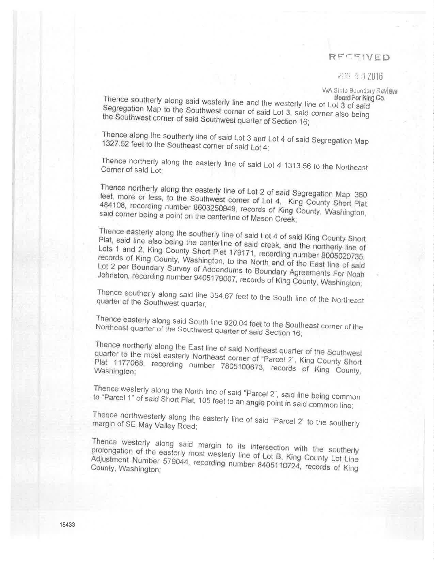### RECEIVED

#### ANG 30 2016

WA State Boundary Review

Thence southerly along said westerly line and the westerly line of Lot 3 of said Board For King Co. Segregation Map to the Southwest corner of said Lot 3, said corner also being the Southwest corner of said Southwest quarter of Section 16;

Thence along the southerly line of said Lot 3 and Lot 4 of said Segregation Map 1327.52 feet to the Southeast corner of said Lot 4;

Thence northerly along the easterly line of said Lot 4 1313.56 to the Northeast Corner of said Lot:

Thence northerly along the easterly line of Lot 2 of said Segregation Map, 360 feet, more or less, to the Southwest corner of Lot 4, King County Short Plat 484108, recording number 8603250949, records of King County, Washington, said corner being a point on the centerline of Mason Creek;

Thence easterly along the southerly line of said Lot 4 of said King County Short Plat, said line also being the centerline of said creek, and the northerly line of Lots 1 and 2, King County Short Plat 179171, recording number 8005020735, records of King County, Washington, to the North end of the East line of said Lot 2 per Boundary Survey of Addendums to Boundary Agreements For Noah Johnston, recording number 9405179007, records of King County, Washington;

Thence southerly along said line 354.67 feet to the South line of the Northeast quarter of the Southwest quarter;

Thence easterly along said South line 920.04 feet to the Southeast corner of the Northeast quarter of the Southwest quarter of said Section 16;

Thence northerly along the East line of said Northeast quarter of the Southwest quarter to the most easterly Northeast corner of "Parcel 2". King County Short Plat 1177068, recording number 7805100673, records of King County, Washington;

Thence westerly along the North line of said "Parcel 2", said line being common to "Parcel 1" of said Short Plat, 105 feet to an angle point in said common line;

Thence northwesterly along the easterly line of said "Parcel 2" to the southerly margin of SE May Valley Road;

Thence westerly along said margin to its intersection with the southerly prolongation of the easterly most westerly line of Lot B, King County Lot Line Adjustment Number 579044, recording number 8405110724, records of King County, Washington;